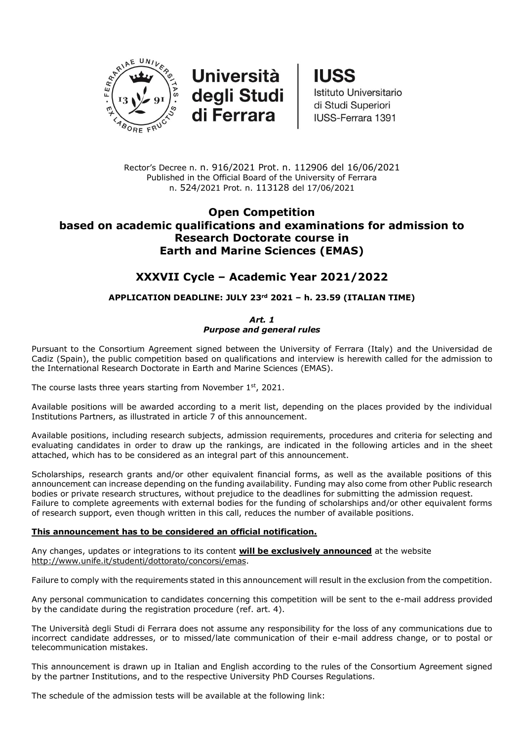

**Università** degli Studi<br>di Ferrara **IUSS** 

Istituto Universitario di Studi Superiori IUSS-Ferrara 1391

Rector's Decree n. n. 916/2021 Prot. n. 112906 del 16/06/2021 Published in the Official Board of the University of Ferrara n. 524/2021 Prot. n. 113128 del 17/06/2021

## **Open Competition based on academic qualifications and examinations for admission to Research Doctorate course in Earth and Marine Sciences (EMAS)**

# **XXXVII Cycle – Academic Year 2021/2022**

## **APPLICATION DEADLINE: JULY 23rd 2021 – h. 23.59 (ITALIAN TIME)**

*Art. 1 Purpose and general rules*

Pursuant to the Consortium Agreement signed between the University of Ferrara (Italy) and the Universidad de Cadiz (Spain), the public competition based on qualifications and interview is herewith called for the admission to the International Research Doctorate in Earth and Marine Sciences (EMAS).

The course lasts three years starting from November  $1<sup>st</sup>$ , 2021.

Available positions will be awarded according to a merit list, depending on the places provided by the individual Institutions Partners, as illustrated in article 7 of this announcement.

Available positions, including research subjects, admission requirements, procedures and criteria for selecting and evaluating candidates in order to draw up the rankings, are indicated in the following articles and in the sheet attached, which has to be considered as an integral part of this announcement.

Scholarships, research grants and/or other equivalent financial forms, as well as the available positions of this announcement can increase depending on the funding availability. Funding may also come from other Public research bodies or private research structures, without prejudice to the deadlines for submitting the admission request. Failure to complete agreements with external bodies for the funding of scholarships and/or other equivalent forms of research support, even though written in this call, reduces the number of available positions.

## **This announcement has to be considered an official notification.**

Any changes, updates or integrations to its content **will be exclusively announced** at the website [http://www.unife.it/studenti/dottorato/concorsi/emas.](http://www.unife.it/studenti/dottorato/concorsi/emas)

Failure to comply with the requirements stated in this announcement will result in the exclusion from the competition.

Any personal communication to candidates concerning this competition will be sent to the e-mail address provided by the candidate during the registration procedure (ref. art. 4).

The Università degli Studi di Ferrara does not assume any responsibility for the loss of any communications due to incorrect candidate addresses, or to missed/late communication of their e-mail address change, or to postal or telecommunication mistakes.

This announcement is drawn up in Italian and English according to the rules of the Consortium Agreement signed by the partner Institutions, and to the respective University PhD Courses Regulations.

The schedule of the admission tests will be available at the following link: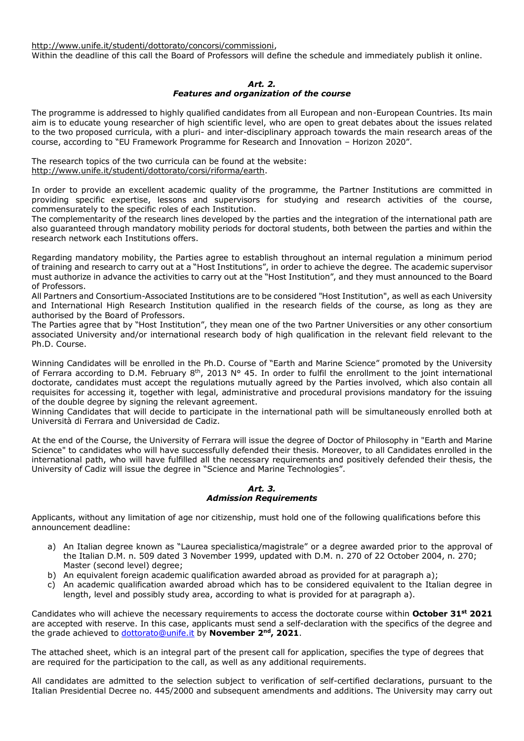[http://www.unife.it/studenti/dottorato/concorsi/commissioni,](http://www.unife.it/studenti/dottorato/concorsi/commissioni)

Within the deadline of this call the Board of Professors will define the schedule and immediately publish it online.

#### *Art. 2.*

#### *Features and organization of the course*

The programme is addressed to highly qualified candidates from all European and non-European Countries. Its main aim is to educate young researcher of high scientific level, who are open to great debates about the issues related to the two proposed curricula, with a pluri- and inter-disciplinary approach towards the main research areas of the course, according to "EU Framework Programme for Research and Innovation – Horizon 2020".

The research topics of the two curricula can be found at the website: [http://www.unife.it/studenti/dottorato/corsi/riforma/earth.](http://www.unife.it/studenti/dottorato/corsi/riforma/earth)

In order to provide an excellent academic quality of the programme, the Partner Institutions are committed in providing specific expertise, lessons and supervisors for studying and research activities of the course, commensurately to the specific roles of each Institution.

The complementarity of the research lines developed by the parties and the integration of the international path are also guaranteed through mandatory mobility periods for doctoral students, both between the parties and within the research network each Institutions offers.

Regarding mandatory mobility, the Parties agree to establish throughout an internal regulation a minimum period of training and research to carry out at a "Host Institutions", in order to achieve the degree. The academic supervisor must authorize in advance the activities to carry out at the "Host Institution", and they must announced to the Board of Professors.

All Partners and Consortium-Associated Institutions are to be considered "Host Institution", as well as each University and International High Research Institution qualified in the research fields of the course, as long as they are authorised by the Board of Professors.

The Parties agree that by "Host Institution", they mean one of the two Partner Universities or any other consortium associated University and/or international research body of high qualification in the relevant field relevant to the Ph.D. Course.

Winning Candidates will be enrolled in the Ph.D. Course of "Earth and Marine Science" promoted by the University of Ferrara according to D.M. February 8<sup>th</sup>, 2013 N° 45. In order to fulfil the enrollment to the joint international doctorate, candidates must accept the regulations mutually agreed by the Parties involved, which also contain all requisites for accessing it, together with legal, administrative and procedural provisions mandatory for the issuing of the double degree by signing the relevant agreement.

Winning Candidates that will decide to participate in the international path will be simultaneously enrolled both at Università di Ferrara and Universidad de Cadiz.

At the end of the Course, the University of Ferrara will issue the degree of Doctor of Philosophy in "Earth and Marine Science" to candidates who will have successfully defended their thesis. Moreover, to all Candidates enrolled in the international path, who will have fulfilled all the necessary requirements and positively defended their thesis, the University of Cadiz will issue the degree in "Science and Marine Technologies".

#### *Art. 3. Admission Requirements*

Applicants, without any limitation of age nor citizenship, must hold one of the following qualifications before this announcement deadline:

- a) An Italian degree known as "Laurea specialistica/magistrale" or a degree awarded prior to the approval of the Italian D.M. n. 509 dated 3 November 1999, updated with D.M. n. 270 of 22 October 2004, n. 270; Master (second level) degree;
- b) An equivalent foreign academic qualification awarded abroad as provided for at paragraph a);
- c) An academic qualification awarded abroad which has to be considered equivalent to the Italian degree in length, level and possibly study area, according to what is provided for at paragraph a).

Candidates who will achieve the necessary requirements to access the doctorate course within **October 31st 2021** are accepted with reserve. In this case, applicants must send a self-declaration with the specifics of the degree and the grade achieved to [dottorato@unife.it](mailto:dottorato@unife.it) by **November 2nd, 2021**.

The attached sheet, which is an integral part of the present call for application, specifies the type of degrees that are required for the participation to the call, as well as any additional requirements.

All candidates are admitted to the selection subject to verification of self-certified declarations, pursuant to the Italian Presidential Decree no. 445/2000 and subsequent amendments and additions. The University may carry out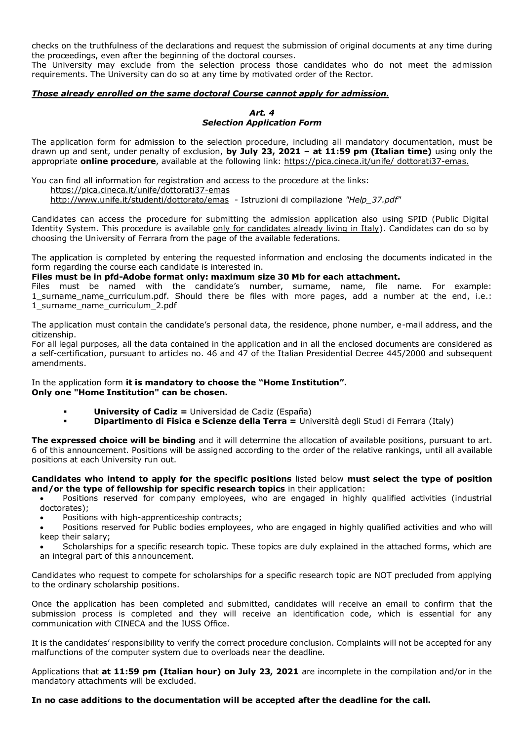checks on the truthfulness of the declarations and request the submission of original documents at any time during the proceedings, even after the beginning of the doctoral courses.

The University may exclude from the selection process those candidates who do not meet the admission requirements. The University can do so at any time by motivated order of the Rector.

## *Those already enrolled on the same doctoral Course cannot apply for admission.*

#### *Art. 4 Selection Application Form*

The application form for admission to the selection procedure, including all mandatory documentation, must be drawn up and sent, under penalty of exclusion, **by July 23, 2021 – at 11:59 pm (Italian time)** using only the appropriate **online procedure**, available at the following link:<https://pica.cineca.it/unife/> dottorati37-emas.

You can find all information for registration and access to the procedure at the links: [https://pica.cineca.it/unife/dottorati37-](https://pica.cineca.it/unife/dottorati37)emas <http://www.unife.it/studenti/dottorato/emas>- Istruzioni di compilazione *"Help\_37.pdf"*

Candidates can access the procedure for submitting the admission application also using SPID (Public Digital Identity System. This procedure is available only for candidates already living in Italy). Candidates can do so by choosing the University of Ferrara from the page of the available federations.

The application is completed by entering the requested information and enclosing the documents indicated in the form regarding the course each candidate is interested in.

### **Files must be in pfd-Adobe format only: maximum size 30 Mb for each attachment.**

Files must be named with the candidate's number, surname, name, file name. For example: 1 surname name curriculum.pdf. Should there be files with more pages, add a number at the end, i.e.: 1\_surname\_name\_curriculum\_2.pdf

The application must contain the candidate's personal data, the residence, phone number, e-mail address, and the citizenship.

For all legal purposes, all the data contained in the application and in all the enclosed documents are considered as a self-certification, pursuant to articles no. 46 and 47 of the Italian Presidential Decree 445/2000 and subsequent amendments.

In the application form **it is mandatory to choose the "Home Institution". Only one "Home Institution" can be chosen.**

- **1 <b>University of Cadiz** = Universidad de Cadiz (España)<br>**1 <b>Dinartimento di Fisica e Scienze della Terra** = Uni
- **Dipartimento di Fisica e Scienze della Terra =** Università degli Studi di Ferrara (Italy)

**The expressed choice will be binding** and it will determine the allocation of available positions, pursuant to art. 6 of this announcement. Positions will be assigned according to the order of the relative rankings, until all available positions at each University run out.

#### **Candidates who intend to apply for the specific positions** listed below **must select the type of position and/or the type of fellowship for specific research topics** in their application:

 Positions reserved for company employees, who are engaged in highly qualified activities (industrial doctorates);

- Positions with high-apprenticeship contracts;
- Positions reserved for Public bodies employees, who are engaged in highly qualified activities and who will keep their salary;
- Scholarships for a specific research topic. These topics are duly explained in the attached forms, which are an integral part of this announcement.

Candidates who request to compete for scholarships for a specific research topic are NOT precluded from applying to the ordinary scholarship positions.

Once the application has been completed and submitted, candidates will receive an email to confirm that the submission process is completed and they will receive an identification code, which is essential for any communication with CINECA and the IUSS Office.

It is the candidates' responsibility to verify the correct procedure conclusion. Complaints will not be accepted for any malfunctions of the computer system due to overloads near the deadline.

Applications that **at 11:59 pm (Italian hour) on July 23, 2021** are incomplete in the compilation and/or in the mandatory attachments will be excluded.

## **In no case additions to the documentation will be accepted after the deadline for the call.**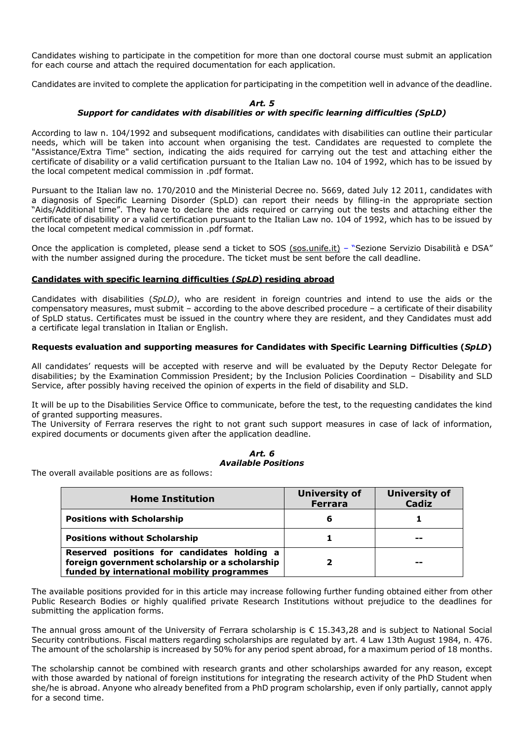Candidates wishing to participate in the competition for more than one doctoral course must submit an application for each course and attach the required documentation for each application.

Candidates are invited to complete the application for participating in the competition well in advance of the deadline.

#### *Art. 5*

## *Support for candidates with disabilities or with specific learning difficulties (SpLD)*

According to law n. 104/1992 and subsequent modifications, candidates with disabilities can outline their particular needs, which will be taken into account when organising the test. Candidates are requested to complete the "Assistance/Extra Time" section, indicating the aids required for carrying out the test and attaching either the certificate of disability or a valid certification pursuant to the Italian Law no. 104 of 1992, which has to be issued by the local competent medical commission in .pdf format.

Pursuant to the Italian law no. 170/2010 and the Ministerial Decree no. 5669, dated July 12 2011, candidates with a diagnosis of Specific Learning Disorder (SpLD) can report their needs by filling-in the appropriate section "Aids/Additional time". They have to declare the aids required or carrying out the tests and attaching either the certificate of disability or a valid certification pursuant to the Italian Law no. 104 of 1992, which has to be issued by the local competent medical commission in .pdf format.

Once the application is completed, please send a ticket to [SOS](mailto:SOS) (sos.unife.it) – "Sezione Servizio Disabilità e DSA" with the number assigned during the procedure. The ticket must be sent before the call deadline.

## **Candidates with specific learning difficulties (***SpLD***) residing abroad**

Candidates with disabilities (*SpLD)*, who are resident in foreign countries and intend to use the aids or the compensatory measures, must submit – according to the above described procedure – a certificate of their disability of SpLD status. Certificates must be issued in the country where they are resident, and they Candidates must add a certificate legal translation in Italian or English.

## **Requests evaluation and supporting measures for Candidates with Specific Learning Difficulties (***SpLD***)**

All candidates' requests will be accepted with reserve and will be evaluated by the Deputy Rector Delegate for disabilities; by the Examination Commission President; by the Inclusion Policies Coordination – Disability and SLD Service, after possibly having received the opinion of experts in the field of disability and SLD.

It will be up to the Disabilities Service Office to communicate, before the test, to the requesting candidates the kind of granted supporting measures.

The University of Ferrara reserves the right to not grant such support measures in case of lack of information, expired documents or documents given after the application deadline.

## *Art. 6 Available Positions*

The overall available positions are as follows:

| <b>Home Institution</b>                                                                                                                       | <b>University of</b><br><b>Ferrara</b> | <b>University of</b><br><b>Cadiz</b> |
|-----------------------------------------------------------------------------------------------------------------------------------------------|----------------------------------------|--------------------------------------|
| <b>Positions with Scholarship</b>                                                                                                             | 6                                      |                                      |
| <b>Positions without Scholarship</b>                                                                                                          |                                        | --                                   |
| Reserved positions for candidates holding a<br>foreign government scholarship or a scholarship<br>funded by international mobility programmes |                                        | --                                   |

The available positions provided for in this article may increase following further funding obtained either from other Public Research Bodies or highly qualified private Research Institutions without prejudice to the deadlines for submitting the application forms.

The annual gross amount of the University of Ferrara scholarship is  $\epsilon$  15.343.28 and is subject to National Social Security contributions. Fiscal matters regarding scholarships are regulated by art. 4 Law 13th August 1984, n. 476. The amount of the scholarship is increased by 50% for any period spent abroad, for a maximum period of 18 months.

The scholarship cannot be combined with research grants and other scholarships awarded for any reason, except with those awarded by national of foreign institutions for integrating the research activity of the PhD Student when she/he is abroad. Anyone who already benefited from a PhD program scholarship, even if only partially, cannot apply for a second time.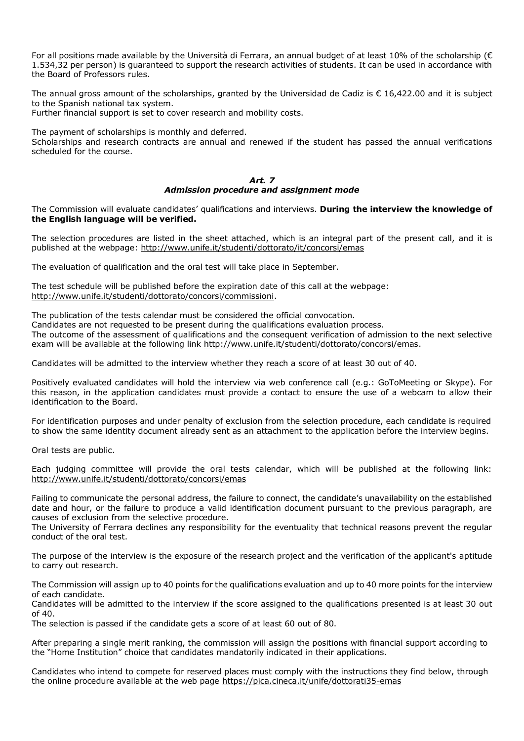For all positions made available by the Università di Ferrara, an annual budget of at least 10% of the scholarship ( $\epsilon$ 1.534,32 per person) is guaranteed to support the research activities of students. It can be used in accordance with the Board of Professors rules.

The annual gross amount of the scholarships, granted by the Universidad de Cadiz is € 16,422.00 and it is subject to the Spanish national tax system.

Further financial support is set to cover research and mobility costs.

The payment of scholarships is monthly and deferred.

Scholarships and research contracts are annual and renewed if the student has passed the annual verifications scheduled for the course.

#### *Art. 7 Admission procedure and assignment mode*

The Commission will evaluate candidates' qualifications and interviews. **During the interview the knowledge of the English language will be verified.**

The selection procedures are listed in the sheet attached, which is an integral part of the present call, and it is published at the webpage: http://www.unife.it/studenti/dottorato/it/concorsi/emas

The evaluation of qualification and the oral test will take place in September.

The test schedule will be published before the expiration date of this call at the webpage: [http://www.unife.it/studenti/dottorato/concorsi/commissioni.](http://www.unife.it/studenti/dottorato/concorsi/commissioni)

The publication of the tests calendar must be considered the official convocation. Candidates are not requested to be present during the qualifications evaluation process. The outcome of the assessment of qualifications and the consequent verification of admission to the next selective exam will be available at the following link [http://www.unife.it/studenti/dottorato/concorsi/emas.](http://www.unife.it/studenti/dottorato/concorsi/emas)

Candidates will be admitted to the interview whether they reach a score of at least 30 out of 40.

Positively evaluated candidates will hold the interview via web conference call (e.g.: GoToMeeting or Skype). For this reason, in the application candidates must provide a contact to ensure the use of a webcam to allow their identification to the Board.

For identification purposes and under penalty of exclusion from the selection procedure, each candidate is required to show the same identity document already sent as an attachment to the application before the interview begins.

Oral tests are public.

Each judging committee will provide the oral tests calendar, which will be published at the following link: <http://www.unife.it/studenti/dottorato/concorsi/emas>

Failing to communicate the personal address, the failure to connect, the candidate's unavailability on the established date and hour, or the failure to produce a valid identification document pursuant to the previous paragraph, are causes of exclusion from the selective procedure.

The University of Ferrara declines any responsibility for the eventuality that technical reasons prevent the regular conduct of the oral test.

The purpose of the interview is the exposure of the research project and the verification of the applicant's aptitude to carry out research.

The Commission will assign up to 40 points for the qualifications evaluation and up to 40 more points for the interview of each candidate.

Candidates will be admitted to the interview if the score assigned to the qualifications presented is at least 30 out of 40.

The selection is passed if the candidate gets a score of at least 60 out of 80.

After preparing a single merit ranking, the commission will assign the positions with financial support according to the "Home Institution" choice that candidates mandatorily indicated in their applications.

Candidates who intend to compete for reserved places must comply with the instructions they find below, through the online procedure available at the web page<https://pica.cineca.it/unife/dottorati35-emas>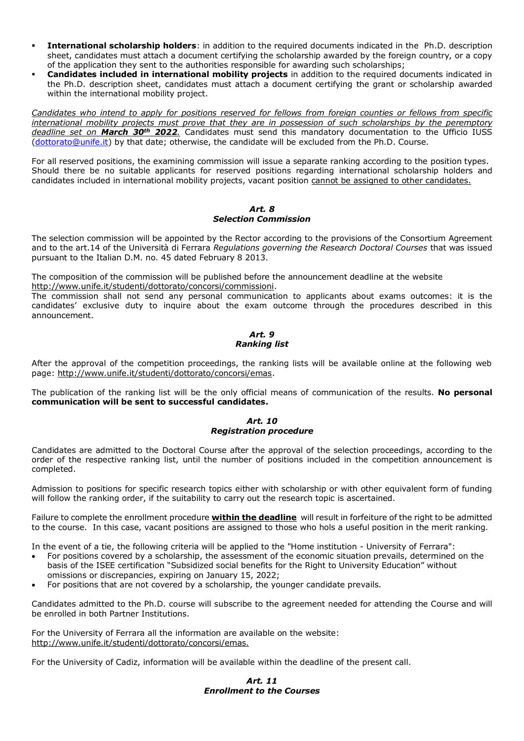- **International scholarship holders**: in addition to the required documents indicated in the Ph.D. description sheet, candidates must attach a document certifying the scholarship awarded by the foreign country, or a copy of the application they sent to the authorities responsible for awarding such scholarships;
- **Candidates included in international mobility projects** in addition to the required documents indicated in the Ph.D. description sheet, candidates must attach a document certifying the grant or scholarship awarded within the international mobility project.

*Candidates who intend to apply for positions reserved for fellows from foreign counties or fellows from specific international mobility projects must prove that they are in possession of such scholarships by the peremptory deadline set on March 30th 2022.* Candidates must send this mandatory documentation to the Ufficio IUSS [\(dottorato@unife.it\)](mailto:dottorato@unife.it) by that date; otherwise, the candidate will be excluded from the Ph.D. Course.

For all reserved positions, the examining commission will issue a separate ranking according to the position types. Should there be no suitable applicants for reserved positions regarding international scholarship holders and candidates included in international mobility projects, vacant position cannot be assigned to other candidates.

## *Art. 8 Selection Commission*

The selection commission will be appointed by the Rector according to the provisions of the Consortium Agreement and to the art.14 of the Università di Ferrara *Regulations governing the Research Doctoral Courses* that was issued pursuant to the Italian D.M. no. 45 dated February 8 2013.

The composition of the commission will be published before the announcement deadline at the website [http://www.unife.it/studenti/dottorato/concorsi/commissioni.](http://www.unife.it/studenti/dottorato/concorsi/commissioni)

The commission shall not send any personal communication to applicants about exams outcomes: it is the candidates' exclusive duty to inquire about the exam outcome through the procedures described in this announcement.

## *Art. 9 Ranking list*

After the approval of the competition proceedings, the ranking lists will be available online at the following web page: [http://www.unife.it/studenti/dottorato/concorsi/emas.](http://www.unife.it/studenti/dottorato/concorsi/emas)

The publication of the ranking list will be the only official means of communication of the results. **No personal communication will be sent to successful candidates.**

## *Art. 10 Registration procedure*

Candidates are admitted to the Doctoral Course after the approval of the selection proceedings, according to the order of the respective ranking list, until the number of positions included in the competition announcement is completed.

Admission to positions for specific research topics either with scholarship or with other equivalent form of funding will follow the ranking order, if the suitability to carry out the research topic is ascertained.

Failure to complete the enrollment procedure **within the deadline** will result in forfeiture of the right to be admitted to the course. In this case, vacant positions are assigned to those who hols a useful position in the merit ranking.

In the event of a tie, the following criteria will be applied to the "Home institution - University of Ferrara":

- For positions covered by a scholarship, the assessment of the economic situation prevails, determined on the basis of the ISEE certification "Subsidized social benefits for the Right to University Education" without omissions or discrepancies, expiring on January 15, 2022;
- For positions that are not covered by a scholarship, the younger candidate prevails.

Candidates admitted to the Ph.D. course will subscribe to the agreement needed for attending the Course and will be enrolled in both Partner Institutions.

For the University of Ferrara all the information are available on the website: [http://www.unife.it/studenti/dottorato/concorsi/emas.](http://www.unife.it/studenti/dottorato/concorsi/emas)

For the University of Cadiz, information will be available within the deadline of the present call.

## *Art. 11 Enrollment to the Courses*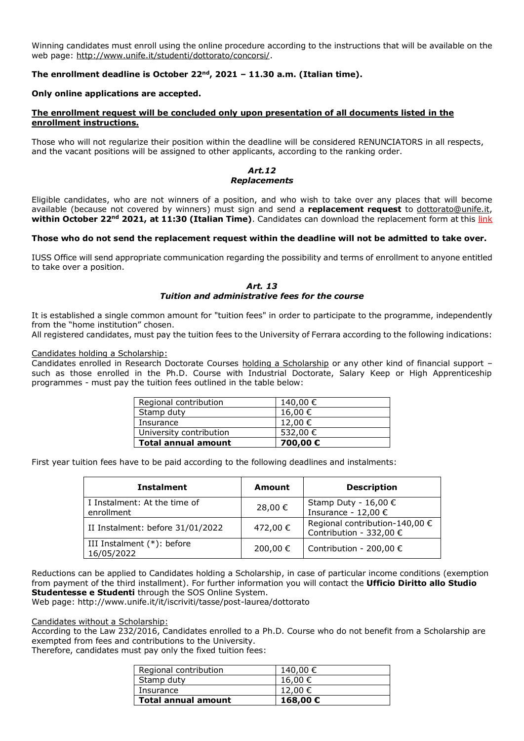Winning candidates must enroll using the online procedure according to the instructions that will be available on the web page: [http://www.unife.it/studenti/dottorato/concorsi/.](http://www.unife.it/studenti/dottorato/concorsi/)

## **The enrollment deadline is October 22nd, 2021 – 11.30 a.m. (Italian time).**

#### **Only online applications are accepted.**

#### **The enrollment request will be concluded only upon presentation of all documents listed in the enrollment instructions.**

Those who will not regularize their position within the deadline will be considered RENUNCIATORS in all respects, and the vacant positions will be assigned to other applicants, according to the ranking order.

#### *Art.12 Replacements*

Eligible candidates, who are not winners of a position, and who wish to take over any places that will become available (because not covered by winners) must sign and send a **replacement request** to [dottorato@unife.it,](mailto:dottorato@unife.it) **within October 22nd 2021, at 11:30 (Italian Time)**. Candidates can download the replacement form at this link

#### **Those who do not send the replacement request within the deadline will not be admitted to take over.**

IUSS Office will send appropriate communication regarding the possibility and terms of enrollment to anyone entitled to take over a position.

#### *Art. 13 Tuition and administrative fees for the course*

It is established a single common amount for "tuition fees" in order to participate to the programme, independently from the "home institution" chosen.

All registered candidates, must pay the tuition fees to the University of Ferrara according to the following indications:

#### Candidates holding a Scholarship:

Candidates enrolled in Research Doctorate Courses holding a Scholarship or any other kind of financial support – such as those enrolled in the Ph.D. Course with Industrial Doctorate, Salary Keep or High Apprenticeship programmes - must pay the tuition fees outlined in the table below:

| <b>Total annual amount</b> | 700,00€  |
|----------------------------|----------|
| University contribution    | 532,00 € |
| Insurance                  | 12,00 €  |
| Stamp duty                 | 16,00 €  |
| Regional contribution      | 140,00 € |

First year tuition fees have to be paid according to the following deadlines and instalments:

| <b>Instalment</b>                          | Amount   | <b>Description</b>                                        |
|--------------------------------------------|----------|-----------------------------------------------------------|
| I Instalment: At the time of<br>enrollment | 28,00 €  | Stamp Duty - 16,00 €<br>Insurance - 12,00 $\epsilon$      |
| II Instalment: before 31/01/2022           | 472,00 € | Regional contribution-140,00 €<br>Contribution - 332,00 € |
| III Instalment (*): before<br>16/05/2022   | 200,00 € | Contribution - 200,00 $\epsilon$                          |

Reductions can be applied to Candidates holding a Scholarship, in case of particular income conditions (exemption from payment of the third installment). For further information you will contact the **Ufficio Diritto allo Studio Studentesse e Studenti** through the SOS Online System.

Web page: http://www.unife.it/it/iscriviti/tasse/post-laurea/dottorato

#### Candidates without a Scholarship:

According to the Law 232/2016, Candidates enrolled to a Ph.D. Course who do not benefit from a Scholarship are exempted from fees and contributions to the University.

Therefore, candidates must pay only the fixed tuition fees:

| <b>Total annual amount</b> | 168,00€  |
|----------------------------|----------|
| Insurance                  | 12,00 €  |
| Stamp duty                 | 16.00 €  |
| Regional contribution      | 140,00 € |